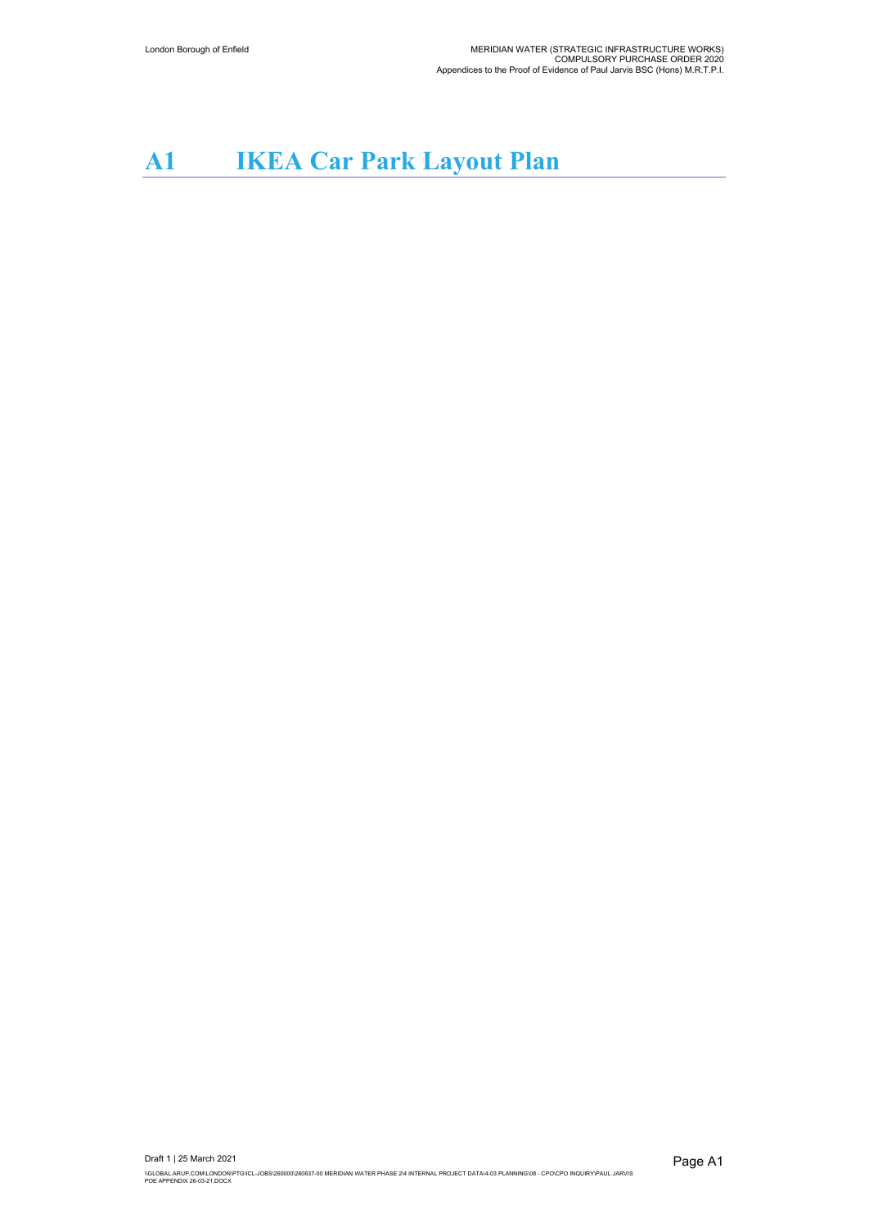## **A1 IKEA Car Park Layout Plan**

Draft 1 | 25 March 2021